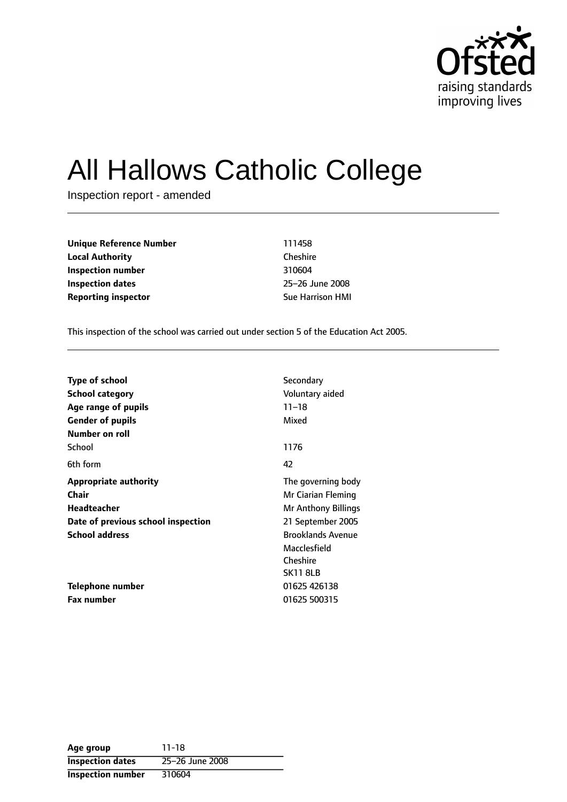

# All Hallows Catholic College

Inspection report - amended

| Unique Reference Number    | 111458                  |  |  |
|----------------------------|-------------------------|--|--|
| Local Authority            | Cheshire                |  |  |
| Inspection number          | 310604                  |  |  |
| Inspection dates           | 25-26 June 2008         |  |  |
| <b>Reporting inspector</b> | <b>Sue Harrison HMI</b> |  |  |

This inspection of the school was carried out under section 5 of the Education Act 2005.

| <b>Type of school</b>              | Secondary                |
|------------------------------------|--------------------------|
| <b>School category</b>             | Voluntary aided          |
| Age range of pupils                | $11 - 18$                |
| <b>Gender of pupils</b>            | Mixed                    |
| Number on roll                     |                          |
| School                             | 1176                     |
| 6th form                           | 42                       |
| <b>Appropriate authority</b>       | The governing body       |
| Chair                              | Mr Ciarian Fleming       |
| <b>Headteacher</b>                 | Mr Anthony Billings      |
| Date of previous school inspection | 21 September 2005        |
| <b>School address</b>              | <b>Brooklands Avenue</b> |
|                                    | Macclesfield             |
|                                    | Cheshire                 |
|                                    | <b>SK11 8LB</b>          |
| Telephone number                   | 01625 426138             |
| <b>Fax number</b>                  | 01625 500315             |

| Age group                | $11 - 18$       |
|--------------------------|-----------------|
| <b>Inspection dates</b>  | 25-26 June 2008 |
| <b>Inspection number</b> | 310604          |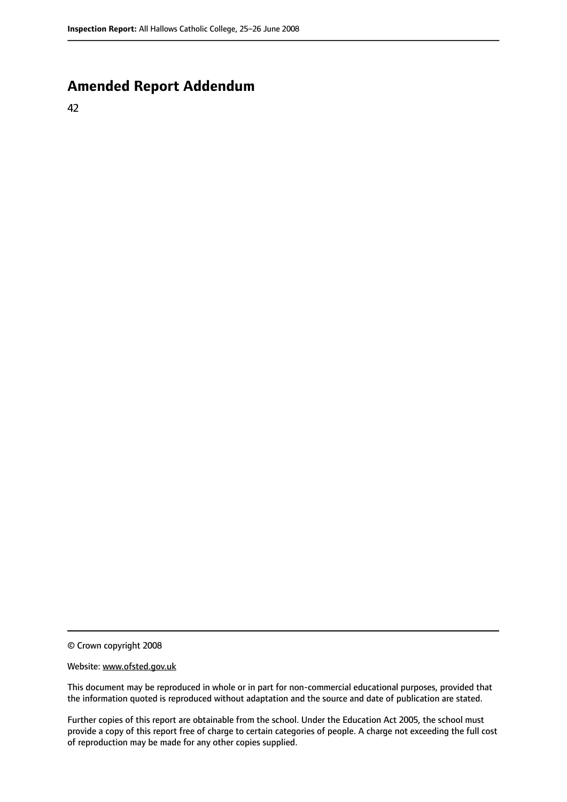# **Amended Report Addendum**

42

© Crown copyright 2008

#### Website: www.ofsted.gov.uk

This document may be reproduced in whole or in part for non-commercial educational purposes, provided that the information quoted is reproduced without adaptation and the source and date of publication are stated.

Further copies of this report are obtainable from the school. Under the Education Act 2005, the school must provide a copy of this report free of charge to certain categories of people. A charge not exceeding the full cost of reproduction may be made for any other copies supplied.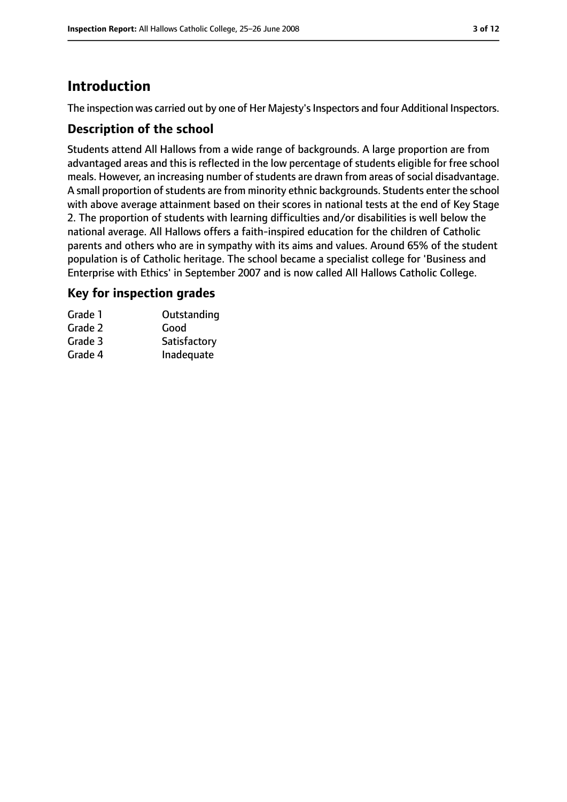# **Introduction**

The inspection was carried out by one of Her Majesty's Inspectors and four Additional Inspectors.

# **Description of the school**

Students attend All Hallows from a wide range of backgrounds. A large proportion are from advantaged areas and this is reflected in the low percentage of students eligible for free school meals. However, an increasing number of students are drawn from areas of social disadvantage. A small proportion of students are from minority ethnic backgrounds. Students enter the school with above average attainment based on their scores in national tests at the end of Key Stage 2. The proportion of students with learning difficulties and/or disabilities is well below the national average. All Hallows offers a faith-inspired education for the children of Catholic parents and others who are in sympathy with its aims and values. Around 65% of the student population is of Catholic heritage. The school became a specialist college for 'Business and Enterprise with Ethics' in September 2007 and is now called All Hallows Catholic College.

## **Key for inspection grades**

| Outstanding  |
|--------------|
| Good         |
| Satisfactory |
| Inadequate   |
|              |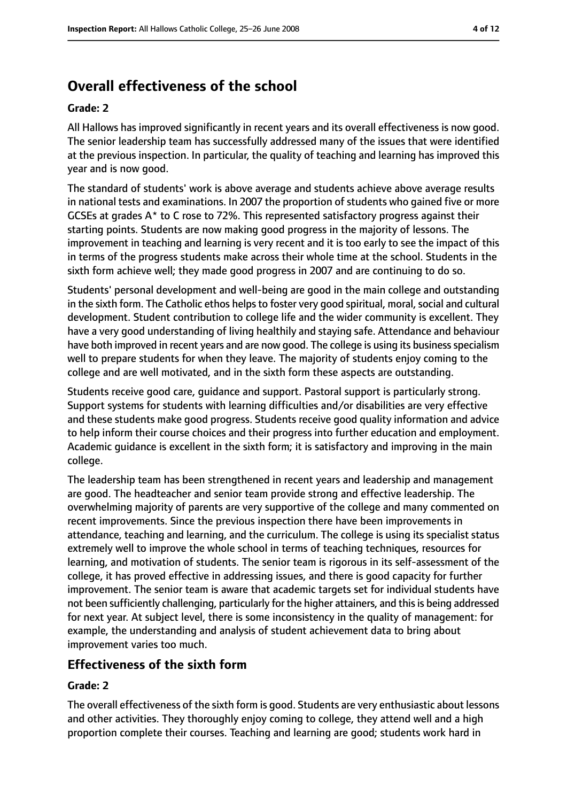# **Overall effectiveness of the school**

## **Grade: 2**

All Hallows has improved significantly in recent years and its overall effectiveness is now good. The senior leadership team has successfully addressed many of the issues that were identified at the previous inspection. In particular, the quality of teaching and learning has improved this year and is now good.

The standard of students' work is above average and students achieve above average results in national tests and examinations. In 2007 the proportion of students who gained five or more GCSEs at grades A\* to C rose to 72%. This represented satisfactory progress against their starting points. Students are now making good progress in the majority of lessons. The improvement in teaching and learning is very recent and it is too early to see the impact of this in terms of the progress students make across their whole time at the school. Students in the sixth form achieve well; they made good progress in 2007 and are continuing to do so.

Students' personal development and well-being are good in the main college and outstanding in the sixth form. The Catholic ethos helps to foster very good spiritual, moral, social and cultural development. Student contribution to college life and the wider community is excellent. They have a very good understanding of living healthily and staying safe. Attendance and behaviour have both improved in recent years and are now good. The college is using its business specialism well to prepare students for when they leave. The majority of students enjoy coming to the college and are well motivated, and in the sixth form these aspects are outstanding.

Students receive good care, guidance and support. Pastoral support is particularly strong. Support systems for students with learning difficulties and/or disabilities are very effective and these students make good progress. Students receive good quality information and advice to help inform their course choices and their progress into further education and employment. Academic guidance is excellent in the sixth form; it is satisfactory and improving in the main college.

The leadership team has been strengthened in recent years and leadership and management are good. The headteacher and senior team provide strong and effective leadership. The overwhelming majority of parents are very supportive of the college and many commented on recent improvements. Since the previous inspection there have been improvements in attendance, teaching and learning, and the curriculum. The college is using its specialist status extremely well to improve the whole school in terms of teaching techniques, resources for learning, and motivation of students. The senior team is rigorous in its self-assessment of the college, it has proved effective in addressing issues, and there is good capacity for further improvement. The senior team is aware that academic targets set for individual students have not been sufficiently challenging, particularly for the higher attainers, and this is being addressed for next year. At subject level, there is some inconsistency in the quality of management: for example, the understanding and analysis of student achievement data to bring about improvement varies too much.

# **Effectiveness of the sixth form**

## **Grade: 2**

The overall effectiveness of the sixth form is good. Students are very enthusiastic about lessons and other activities. They thoroughly enjoy coming to college, they attend well and a high proportion complete their courses. Teaching and learning are good; students work hard in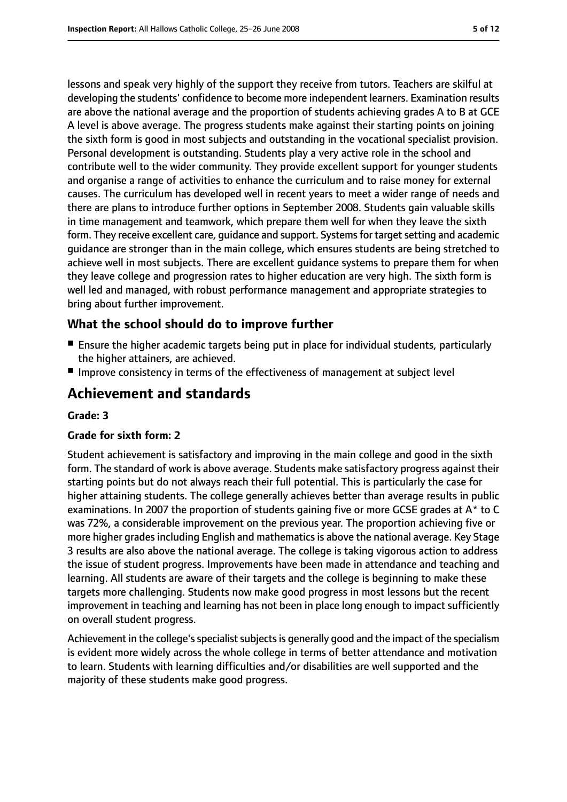lessons and speak very highly of the support they receive from tutors. Teachers are skilful at developing the students' confidence to become more independent learners. Examination results are above the national average and the proportion of students achieving grades A to B at GCE A level is above average. The progress students make against their starting points on joining the sixth form is good in most subjects and outstanding in the vocational specialist provision. Personal development is outstanding. Students play a very active role in the school and contribute well to the wider community. They provide excellent support for younger students and organise a range of activities to enhance the curriculum and to raise money for external causes. The curriculum has developed well in recent years to meet a wider range of needs and there are plans to introduce further options in September 2008. Students gain valuable skills in time management and teamwork, which prepare them well for when they leave the sixth form. They receive excellent care, quidance and support. Systems for target setting and academic guidance are stronger than in the main college, which ensures students are being stretched to achieve well in most subjects. There are excellent guidance systems to prepare them for when they leave college and progression rates to higher education are very high. The sixth form is well led and managed, with robust performance management and appropriate strategies to bring about further improvement.

## **What the school should do to improve further**

- Ensure the higher academic targets being put in place for individual students, particularly the higher attainers, are achieved.
- Improve consistency in terms of the effectiveness of management at subject level

# **Achievement and standards**

#### **Grade: 3**

#### **Grade for sixth form: 2**

Student achievement is satisfactory and improving in the main college and good in the sixth form. The standard of work is above average. Students make satisfactory progress against their starting points but do not always reach their full potential. This is particularly the case for higher attaining students. The college generally achieves better than average results in public examinations. In 2007 the proportion of students gaining five or more GCSE grades at A\* to C was 72%, a considerable improvement on the previous year. The proportion achieving five or more higher grades including English and mathematics is above the national average. Key Stage 3 results are also above the national average. The college is taking vigorous action to address the issue of student progress. Improvements have been made in attendance and teaching and learning. All students are aware of their targets and the college is beginning to make these targets more challenging. Students now make good progress in most lessons but the recent improvement in teaching and learning has not been in place long enough to impact sufficiently on overall student progress.

Achievement in the college's specialist subjects is generally good and the impact of the specialism is evident more widely across the whole college in terms of better attendance and motivation to learn. Students with learning difficulties and/or disabilities are well supported and the majority of these students make good progress.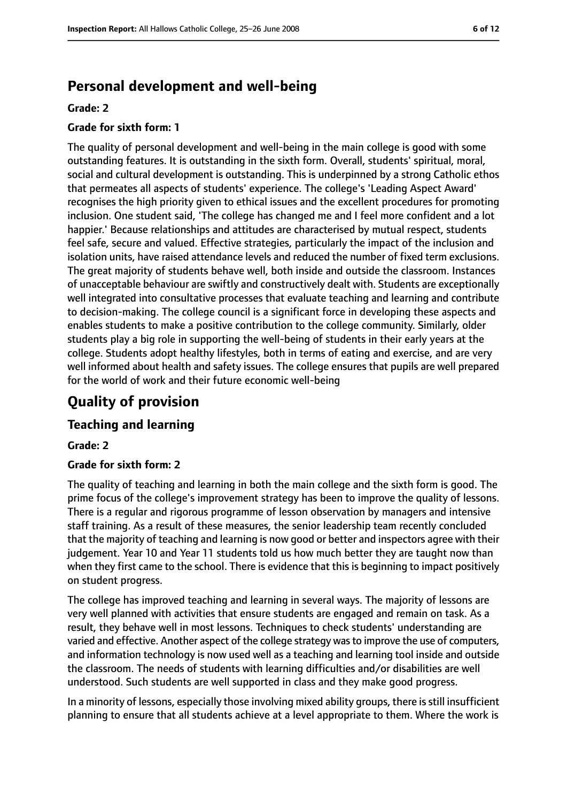# **Personal development and well-being**

#### **Grade: 2**

#### **Grade for sixth form: 1**

The quality of personal development and well-being in the main college is good with some outstanding features. It is outstanding in the sixth form. Overall, students' spiritual, moral, social and cultural development is outstanding. This is underpinned by a strong Catholic ethos that permeates all aspects of students' experience. The college's 'Leading Aspect Award' recognises the high priority given to ethical issues and the excellent procedures for promoting inclusion. One student said, 'The college has changed me and I feel more confident and a lot happier.' Because relationships and attitudes are characterised by mutual respect, students feel safe, secure and valued. Effective strategies, particularly the impact of the inclusion and isolation units, have raised attendance levels and reduced the number of fixed term exclusions. The great majority of students behave well, both inside and outside the classroom. Instances of unacceptable behaviour are swiftly and constructively dealt with. Students are exceptionally well integrated into consultative processes that evaluate teaching and learning and contribute to decision-making. The college council is a significant force in developing these aspects and enables students to make a positive contribution to the college community. Similarly, older students play a big role in supporting the well-being of students in their early years at the college. Students adopt healthy lifestyles, both in terms of eating and exercise, and are very well informed about health and safety issues. The college ensures that pupils are well prepared for the world of work and their future economic well-being

# **Quality of provision**

## **Teaching and learning**

#### **Grade: 2**

#### **Grade for sixth form: 2**

The quality of teaching and learning in both the main college and the sixth form is good. The prime focus of the college's improvement strategy has been to improve the quality of lessons. There is a regular and rigorous programme of lesson observation by managers and intensive staff training. As a result of these measures, the senior leadership team recently concluded that the majority of teaching and learning is now good or better and inspectors agree with their judgement. Year 10 and Year 11 students told us how much better they are taught now than when they first came to the school. There is evidence that this is beginning to impact positively on student progress.

The college has improved teaching and learning in several ways. The majority of lessons are very well planned with activities that ensure students are engaged and remain on task. As a result, they behave well in most lessons. Techniques to check students' understanding are varied and effective. Another aspect of the college strategy wasto improve the use of computers, and information technology is now used well as a teaching and learning tool inside and outside the classroom. The needs of students with learning difficulties and/or disabilities are well understood. Such students are well supported in class and they make good progress.

In a minority of lessons, especially those involving mixed ability groups, there isstill insufficient planning to ensure that all students achieve at a level appropriate to them. Where the work is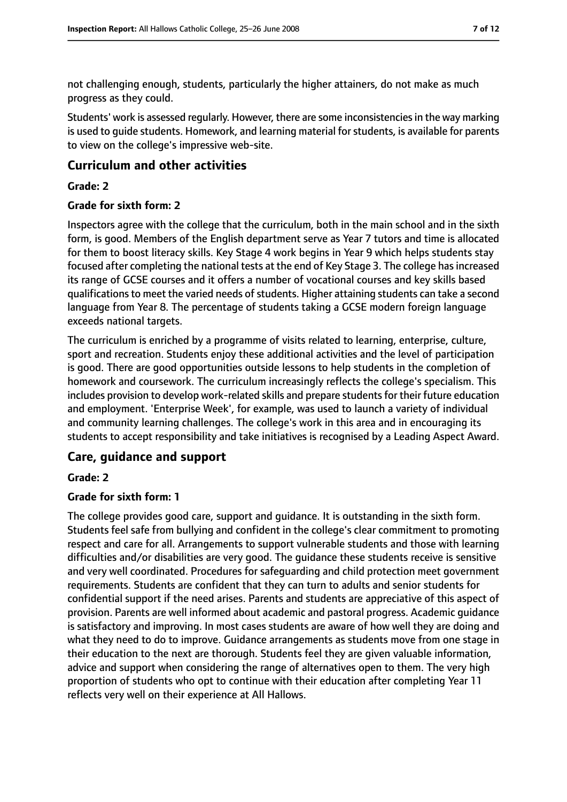not challenging enough, students, particularly the higher attainers, do not make as much progress as they could.

Students' work is assessed regularly. However, there are some inconsistencies in the way marking is used to guide students. Homework, and learning material for students, is available for parents to view on the college's impressive web-site.

## **Curriculum and other activities**

## **Grade: 2**

#### **Grade for sixth form: 2**

Inspectors agree with the college that the curriculum, both in the main school and in the sixth form, is good. Members of the English department serve as Year 7 tutors and time is allocated for them to boost literacy skills. Key Stage 4 work begins in Year 9 which helps students stay focused after completing the national tests at the end of Key Stage 3. The college has increased its range of GCSE courses and it offers a number of vocational courses and key skills based qualifications to meet the varied needs of students. Higher attaining students can take a second language from Year 8. The percentage of students taking a GCSE modern foreign language exceeds national targets.

The curriculum is enriched by a programme of visits related to learning, enterprise, culture, sport and recreation. Students enjoy these additional activities and the level of participation is good. There are good opportunities outside lessons to help students in the completion of homework and coursework. The curriculum increasingly reflects the college's specialism. This includes provision to develop work-related skills and prepare students for their future education and employment. 'Enterprise Week', for example, was used to launch a variety of individual and community learning challenges. The college's work in this area and in encouraging its students to accept responsibility and take initiatives is recognised by a Leading Aspect Award.

## **Care, guidance and support**

#### **Grade: 2**

#### **Grade for sixth form: 1**

The college provides good care, support and guidance. It is outstanding in the sixth form. Students feel safe from bullying and confident in the college's clear commitment to promoting respect and care for all. Arrangements to support vulnerable students and those with learning difficulties and/or disabilities are very good. The guidance these students receive is sensitive and very well coordinated. Procedures for safeguarding and child protection meet government requirements. Students are confident that they can turn to adults and senior students for confidential support if the need arises. Parents and students are appreciative of this aspect of provision. Parents are well informed about academic and pastoral progress. Academic guidance is satisfactory and improving. In most cases students are aware of how well they are doing and what they need to do to improve. Guidance arrangements as students move from one stage in their education to the next are thorough. Students feel they are given valuable information, advice and support when considering the range of alternatives open to them. The very high proportion of students who opt to continue with their education after completing Year 11 reflects very well on their experience at All Hallows.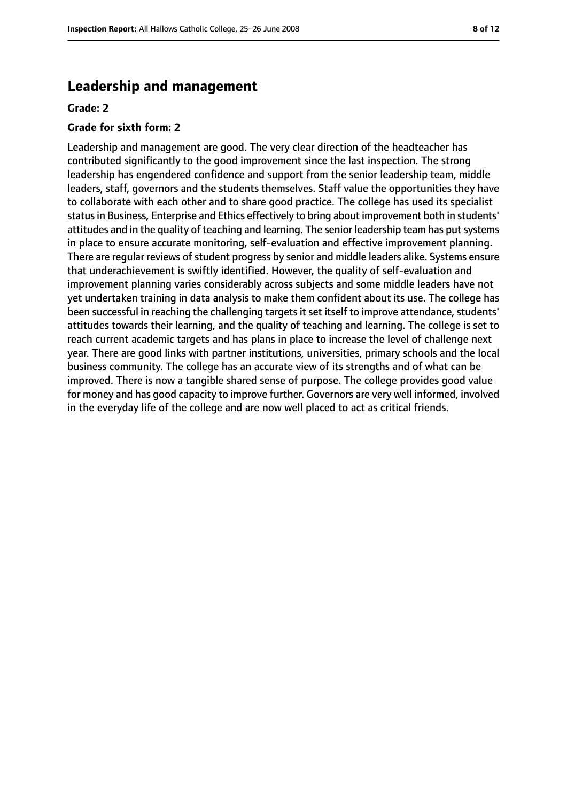# **Leadership and management**

#### **Grade: 2**

#### **Grade for sixth form: 2**

Leadership and management are good. The very clear direction of the headteacher has contributed significantly to the good improvement since the last inspection. The strong leadership has engendered confidence and support from the senior leadership team, middle leaders, staff, governors and the students themselves. Staff value the opportunities they have to collaborate with each other and to share good practice. The college has used its specialist status in Business, Enterprise and Ethics effectively to bring about improvement both in students' attitudes and in the quality of teaching and learning. The senior leadership team has put systems in place to ensure accurate monitoring, self-evaluation and effective improvement planning. There are regular reviews of student progress by senior and middle leaders alike. Systems ensure that underachievement is swiftly identified. However, the quality of self-evaluation and improvement planning varies considerably across subjects and some middle leaders have not yet undertaken training in data analysis to make them confident about its use. The college has been successful in reaching the challenging targetsit set itself to improve attendance, students' attitudes towards their learning, and the quality of teaching and learning. The college is set to reach current academic targets and has plans in place to increase the level of challenge next year. There are good links with partner institutions, universities, primary schools and the local business community. The college has an accurate view of its strengths and of what can be improved. There is now a tangible shared sense of purpose. The college provides good value for money and has good capacity to improve further. Governors are very well informed, involved in the everyday life of the college and are now well placed to act as critical friends.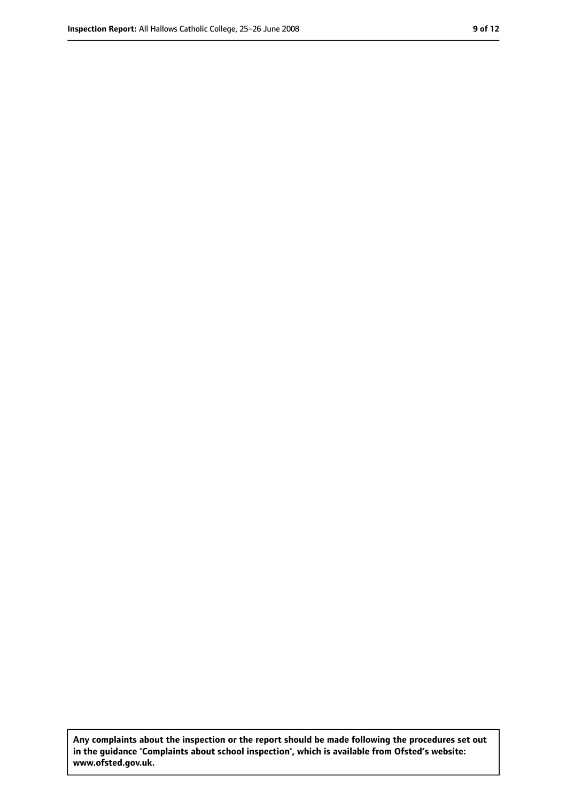**Any complaints about the inspection or the report should be made following the procedures set out in the guidance 'Complaints about school inspection', which is available from Ofsted's website: www.ofsted.gov.uk.**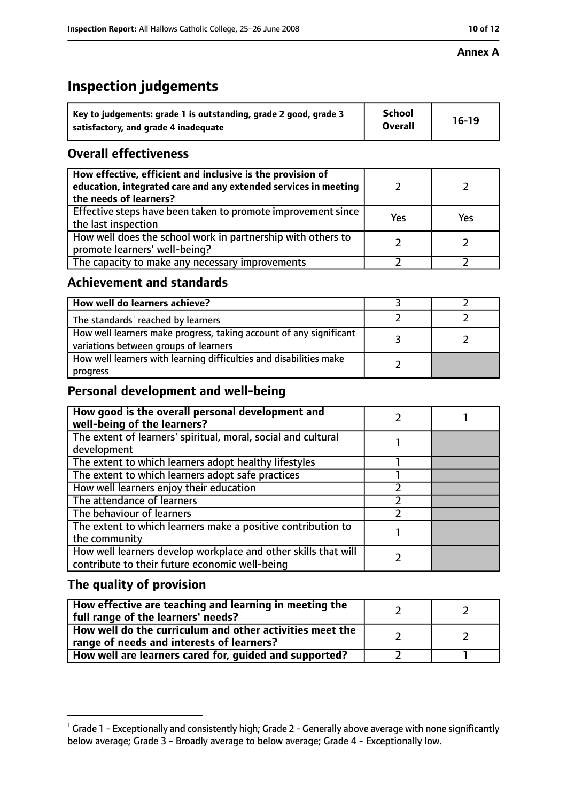#### **Annex A**

# **Inspection judgements**

| Key to judgements: grade 1 is outstanding, grade 2 good, grade 3 | <b>School</b>  | $16-19$ |
|------------------------------------------------------------------|----------------|---------|
| satisfactory, and grade 4 inadequate                             | <b>Overall</b> |         |

# **Overall effectiveness**

| How effective, efficient and inclusive is the provision of<br>education, integrated care and any extended services in meeting<br>the needs of learners? |     |     |
|---------------------------------------------------------------------------------------------------------------------------------------------------------|-----|-----|
| Effective steps have been taken to promote improvement since<br>the last inspection                                                                     | Yes | Yes |
| How well does the school work in partnership with others to<br>promote learners' well-being?                                                            |     |     |
| The capacity to make any necessary improvements                                                                                                         |     |     |

# **Achievement and standards**

| How well do learners achieve?                                                                               |  |
|-------------------------------------------------------------------------------------------------------------|--|
| The standards <sup>1</sup> reached by learners                                                              |  |
| How well learners make progress, taking account of any significant<br>variations between groups of learners |  |
| How well learners with learning difficulties and disabilities make<br>progress                              |  |

# **Personal development and well-being**

| How good is the overall personal development and<br>well-being of the learners? |  |
|---------------------------------------------------------------------------------|--|
| The extent of learners' spiritual, moral, social and cultural                   |  |
| development                                                                     |  |
| The extent to which learners adopt healthy lifestyles                           |  |
| The extent to which learners adopt safe practices                               |  |
| How well learners enjoy their education                                         |  |
| The attendance of learners                                                      |  |
| The behaviour of learners                                                       |  |
| The extent to which learners make a positive contribution to                    |  |
| the community                                                                   |  |
| How well learners develop workplace and other skills that will                  |  |
| contribute to their future economic well-being                                  |  |

# **The quality of provision**

| How effective are teaching and learning in meeting the<br>full range of the learners' needs?          |  |
|-------------------------------------------------------------------------------------------------------|--|
| How well do the curriculum and other activities meet the<br>range of needs and interests of learners? |  |
| How well are learners cared for, guided and supported?                                                |  |

 $^1$  Grade 1 - Exceptionally and consistently high; Grade 2 - Generally above average with none significantly below average; Grade 3 - Broadly average to below average; Grade 4 - Exceptionally low.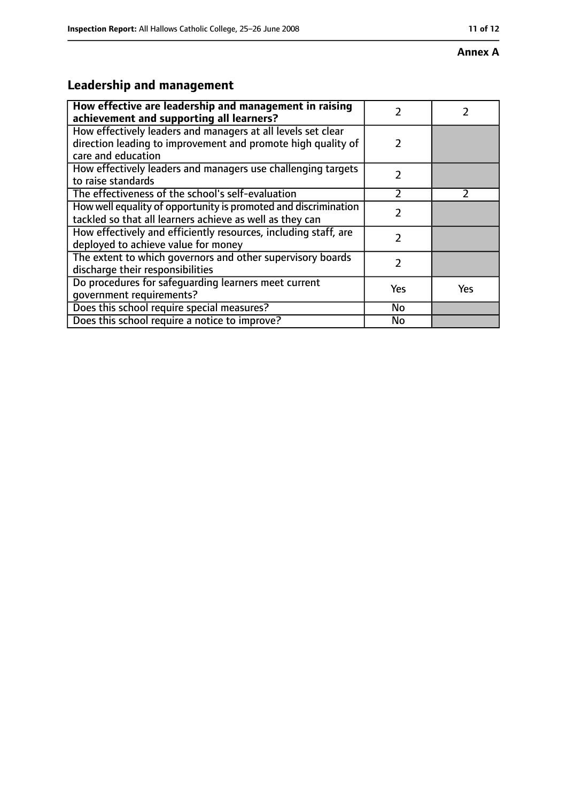#### **Annex A**

# **Leadership and management**

| How effective are leadership and management in raising<br>achievement and supporting all learners?                                                 | 7             |               |
|----------------------------------------------------------------------------------------------------------------------------------------------------|---------------|---------------|
| How effectively leaders and managers at all levels set clear<br>direction leading to improvement and promote high quality of<br>care and education | $\mathcal{P}$ |               |
| How effectively leaders and managers use challenging targets<br>to raise standards                                                                 | $\mathcal{P}$ |               |
| The effectiveness of the school's self-evaluation                                                                                                  | $\mathcal{P}$ | $\mathcal{P}$ |
| How well equality of opportunity is promoted and discrimination<br>tackled so that all learners achieve as well as they can                        | 7             |               |
| How effectively and efficiently resources, including staff, are<br>deployed to achieve value for money                                             | 2             |               |
| The extent to which governors and other supervisory boards<br>discharge their responsibilities                                                     | 2             |               |
| Do procedures for safeguarding learners meet current<br>qovernment requirements?                                                                   | Yes           | <b>Yes</b>    |
| Does this school require special measures?                                                                                                         | No            |               |
| Does this school require a notice to improve?                                                                                                      | <b>No</b>     |               |